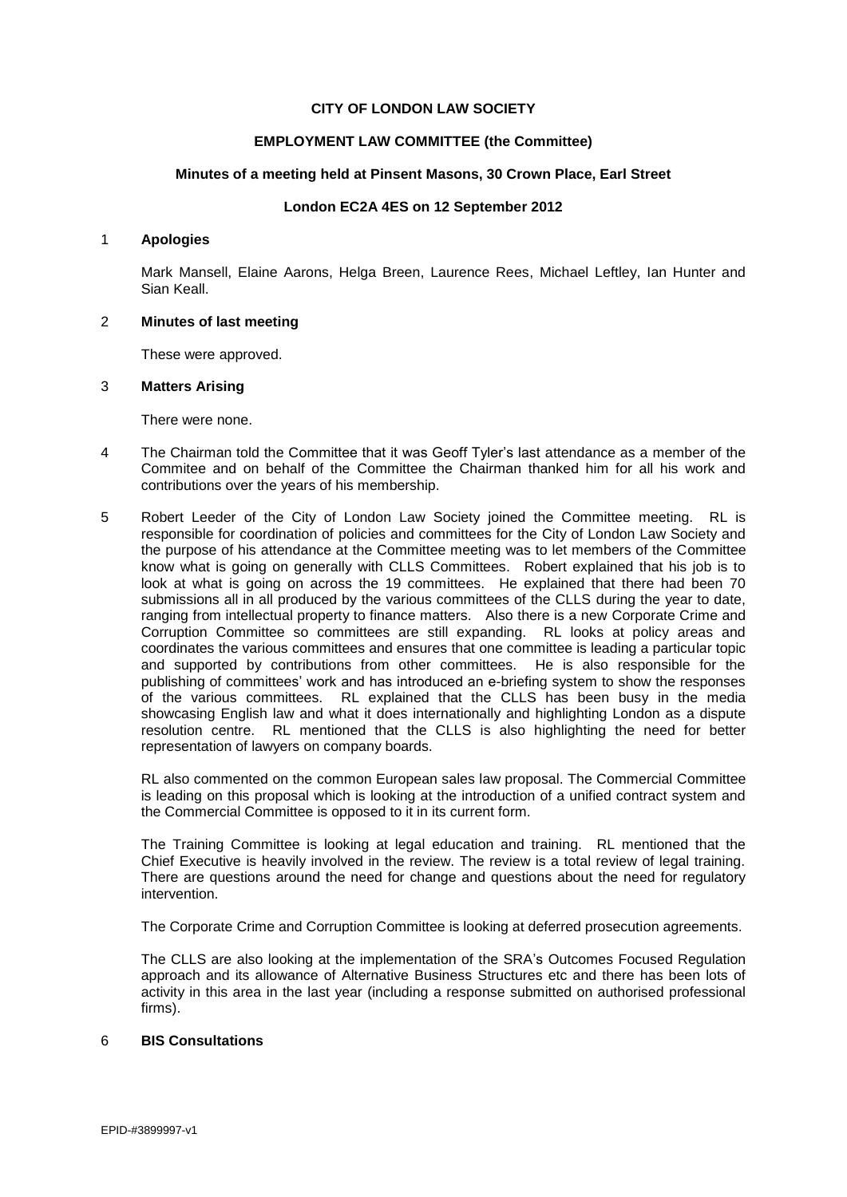# **CITY OF LONDON LAW SOCIETY**

# **EMPLOYMENT LAW COMMITTEE (the Committee)**

# **Minutes of a meeting held at Pinsent Masons, 30 Crown Place, Earl Street**

# **London EC2A 4ES on 12 September 2012**

#### 1 **Apologies**

Mark Mansell, Elaine Aarons, Helga Breen, Laurence Rees, Michael Leftley, Ian Hunter and Sian Keall.

### 2 **Minutes of last meeting**

These were approved.

### 3 **Matters Arising**

There were none.

- 4 The Chairman told the Committee that it was Geoff Tyler's last attendance as a member of the Commitee and on behalf of the Committee the Chairman thanked him for all his work and contributions over the years of his membership.
- 5 Robert Leeder of the City of London Law Society joined the Committee meeting. RL is responsible for coordination of policies and committees for the City of London Law Society and the purpose of his attendance at the Committee meeting was to let members of the Committee know what is going on generally with CLLS Committees. Robert explained that his job is to look at what is going on across the 19 committees. He explained that there had been 70 submissions all in all produced by the various committees of the CLLS during the year to date, ranging from intellectual property to finance matters. Also there is a new Corporate Crime and Corruption Committee so committees are still expanding. RL looks at policy areas and coordinates the various committees and ensures that one committee is leading a particular topic and supported by contributions from other committees. He is also responsible for the publishing of committees' work and has introduced an e-briefing system to show the responses of the various committees. RL explained that the CLLS has been busy in the media showcasing English law and what it does internationally and highlighting London as a dispute resolution centre. RL mentioned that the CLLS is also highlighting the need for better representation of lawyers on company boards.

RL also commented on the common European sales law proposal. The Commercial Committee is leading on this proposal which is looking at the introduction of a unified contract system and the Commercial Committee is opposed to it in its current form.

The Training Committee is looking at legal education and training. RL mentioned that the Chief Executive is heavily involved in the review. The review is a total review of legal training. There are questions around the need for change and questions about the need for regulatory intervention.

The Corporate Crime and Corruption Committee is looking at deferred prosecution agreements.

The CLLS are also looking at the implementation of the SRA's Outcomes Focused Regulation approach and its allowance of Alternative Business Structures etc and there has been lots of activity in this area in the last year (including a response submitted on authorised professional firms).

### 6 **BIS Consultations**